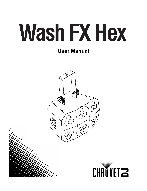# **Wash FX Hex**

# **User Manual**



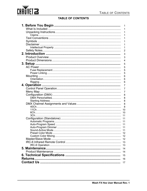

#### **TABLE OF CONTENTS**

|      | 1        |
|------|----------|
|      | 1        |
|      | 1        |
|      | 1        |
|      | 1        |
|      | 1        |
|      | 1        |
|      | 2        |
|      | 3        |
|      | 3        |
|      | 4        |
|      | 5        |
|      | 5        |
|      | 5        |
|      | 5        |
|      | 6        |
|      | 6        |
|      | 6        |
|      | 7        |
|      | 7        |
|      | 7        |
|      | 8        |
|      | 8        |
|      | 8        |
|      | 8        |
|      | 8        |
|      | 10       |
|      | 10       |
| 3Ch. | 11       |
|      | 11       |
|      | 11<br>11 |
|      | 11       |
|      | 11       |
|      | 12       |
|      | 12       |
|      | 12       |
|      | 13       |
|      | 13       |
|      | 14       |
|      | 14       |
|      | 15       |
|      | 16       |
|      | 17       |
|      |          |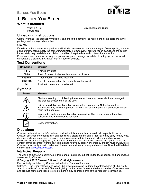

# <span id="page-2-0"></span>**1. BEFORE YOU BEGIN**

#### <span id="page-2-1"></span>**What Is Included**

- Wash FX Hex
- Power cord

#### <span id="page-2-2"></span>**Unpacking Instructions**

Carefully unpack the product immediately and check the container to make sure all the parts are in the package and are in good condition.

• Quick Reference Guide

#### <span id="page-2-3"></span>**Claims**

If the box or the contents (the product and included accessories) appear damaged from shipping, or show signs of mishandling, notify the carrier immediately, not Chauvet. Failure to report damage to the carrier immediately may invalidate your claim. In addition, keep the box and contents for inspection.

For other issues, such as missing components or parts, damage not related to shipping, or concealed damage, file a claim with Chauvet within 7 days of delivery.

#### <span id="page-2-4"></span>**Text Conventions**

| <b>CONVENTION</b> | <b>MEANING</b>                                     |
|-------------------|----------------------------------------------------|
| $1 - 512$         | A range of values                                  |
| 50/60             | A set of values of which only one can be chosen    |
| <b>Settings</b>   | A menu option not to be modified                   |
| <enter></enter>   | A key to be pressed on the product's control panel |
| ΟN                | A value to be entered or selected                  |

#### <span id="page-2-5"></span>**Symbols**

| <b>SYMBOL</b> | <b>MEANING</b>                                                                                                                                                                                    |
|---------------|---------------------------------------------------------------------------------------------------------------------------------------------------------------------------------------------------|
|               | Electrical warning. Not following these instructions may cause electrical damage to<br>the product, accessories, or the user.                                                                     |
|               | Critical installation, configuration, or operation information. Not following these<br>instructions may make the product not work, cause damage to the product, or cause<br>harm to the operator. |
|               | Important installation or configuration information. The product may not function<br>correctly if this information is not used.                                                                   |
|               | Useful information.                                                                                                                                                                               |

#### <span id="page-2-6"></span>**Disclaimer**

Chauvet believes that the information contained in this manual is accurate in all respects. However, Chauvet assumes no responsibility and specifically disclaims any and all liability to any party for any loss, damage or disruption caused by any errors or omissions in this document, whether such errors or omissions result from negligence, accident or any other cause. Chauvet reserves the right to revise the content of this document without any obligation to notify any person or company of such revision, however, Chauvet has no obligation to make, and does not commit to make, any such revisions. Download the latest version from [www.chauvetdj.com](http://www.chauvetdj.com).

#### <span id="page-2-7"></span>**Intellectual Property**

The works of authorship contained in this manual, including, but not limited to, all design, text and images are owned by Chauvet.

#### **© Copyright 2020 Chauvet & Sons, LLC. All rights reserved.**

Electronically published by Chauvet in the United States of America.

CHAUVET, the Chauvet logo, and Wash FX Hex are registered trademarks or trademarks of Chauvet & Sons LLC (d/b/a Chauvet and Chauvet Lighting) in the United States and other countries. Other company and product names and logos referred to herein may be trademarks of their respective companies.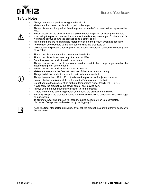

#### <span id="page-3-1"></span><span id="page-3-0"></span>**Safety Notes**

- Always connect the product to a grounded circuit.
- Make sure the power cord is not crimped or damaged.
- Always disconnect the product from the power source before cleaning it or replacing the fuse.
- Never disconnect the product from the power source by pulling or tugging on the cord.
- If mounting the product overhead, make sure there is adequate support for the product's weight and always secure the product using a safety cable.
- Make sure there are no flammable materials close to the product when it is operating.
- Avoid direct eye exposure to the light source while the product is on.
- Do not touch the product's housing when the product is operating because the housing can be very hot.
- The product is not intended for permanent installation.
- The product is for indoor use only. It is rated at IP20.
- Do not expose the product to rain or moisture.
- Always connect the product to a power source that is within the voltage range stated on the label or rear panel of the product.
- Never connect the product to a dimmer or rheostat.
- Make sure to replace the fuse with another of the same type and rating.
- Always install the product in a location with adequate ventilation.
- Always leave at least 20 in (50 cm) between the product and adjacent surfaces.
- Be sure that no ventilation slots on the product's housing are blocked.
- Do not operate the product at an ambient temperature higher than 104  $\degree$ F (40  $\degree$ C).
- Never carry the product by the power cord or any moving part.
- Always use the mounting/hanging bracket to lift the product.
- If there is a serious operating problem, stop using the product immediately.
- Never try to repair the product. Repairs carried out by untrained people can lead to damage or malfunction.
- To eliminate wear and improve its lifespan, during periods of non-use completely disconnect from power via breaker or by unplugging it.



Keep this User Manual for future use. If you sell the product, be sure that they also receive this document.

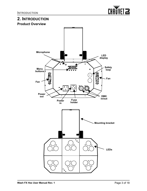

# <span id="page-4-0"></span>**2. INTRODUCTION**

<span id="page-4-2"></span><span id="page-4-1"></span>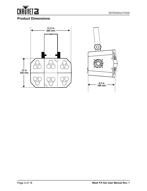

#### **INTRODUCTION**

### <span id="page-5-0"></span>**Product Dimensions**



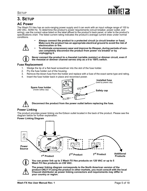# <span id="page-6-0"></span>**3. SETUP**

#### <span id="page-6-1"></span>**AC Power**

The Wash FX Hex has an auto-ranging power supply and it can work with an input voltage range of 100 to 240 VAC, 50/60 Hz. To determine the product's power requirements (circuit breaker, power outlet, and wiring), use the current value listed on the label affixed to the product's back panel, or refer to the product's specifications chart. The listed current rating indicates the product's average current draw under normal conditions.

- **Always connect the product to a protected circuit (a circuit breaker or fuse). Make sure the product has an appropriate electrical ground to avoid the risk of electrocution or fire.**
- **To eliminate unnecessary wear and improve its lifespan, during periods of nonuse completely disconnect the product from power via breaker or by unplugging it.**



**Never connect the product to a rheostat (variable resistor) or dimmer circuit, even if the rheostat or dimmer channel serves only as a 0 to 100% switch.**

#### <span id="page-6-2"></span>**Fuse Replacement**

- 1. Wedge the tip of a flat-head screwdriver into the slot of the fuse holder.
- 2. Pry the fuse holder out of the housing.
- 3. Remove the blown fuse from the holder and replace with a fuse of the exact same type and rating.
- 4. Insert the fuse holder back in place and reconnect power.



**Disconnect the product from the power outlet before replacing the fuse.**

#### <span id="page-6-3"></span>**Power Linking**

The product provides power linking via the Edison outlet located in the back of the product. Please see the diagram below for further explanation.





**You can power link up to 3 Wash FX Hex products on 120 VAC or up to 5 Wash FX Hex products on 230 VAC.**

**The power linking diagram corresponds to the North American version of the product ONLY! If using the product in other markets, you must consult with the local Chauvet distributor as power linking connectors and requirements may differ in your country or region.**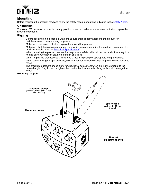

#### <span id="page-7-0"></span>**Mounting**

Before mounting the product, read and follow the safety recommendations indicated in the [Safety Notes.](#page-3-1)

#### <span id="page-7-1"></span>**Orientation**

The Wash FX Hex may be mounted in any position; however, make sure adequate ventilation is provided around the product.

#### <span id="page-7-2"></span>**Rigging**

- Before deciding on a location, always make sure there is easy access to the product for maintenance and programming purposes.
- Make sure adequate ventilation is provided around the product.
- Make sure that the structure or surface onto which you are mounting the product can support the product's weight. (see the [Technical Specifications\)](#page-16-1)
- When mounting the product overhead, always use a safety cable. Mount the product securely to a rigging point, whether an elevated platform or a truss.
- When rigging the product onto a truss, use a mounting clamp of appropriate weight capacity.
- When power linking multiple products, mount the products close enough for power linking cables to reach.
- The bracket adjustment knobs allow for directional adjustment when aiming the product to the desired angle. Only loosen or tighten the bracket knobs manually. Using tools could damage the knobs.

#### **Mounting Diagram**

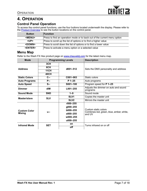

# <span id="page-8-0"></span>**4. OPERATION**

#### <span id="page-8-1"></span>**Control Panel Operation**

To access the control panel functions, use the four buttons located underneath the display. Please refer to the <u>Product Overview</u> to see the button locations on the control panel.

| <b>Button</b>   | Function                                                                  |
|-----------------|---------------------------------------------------------------------------|
| <menu></menu>   | Press to find an operation mode or to back out of the current menu option |
| <up></up>       | Press to scroll up the list of options or to find a higher value          |
| <down></down>   | Press to scroll down the list of options or to find a lower value         |
| <enter></enter> | Press to activate a menu option or a selected value                       |

#### <span id="page-8-2"></span>**Menu Map**

Refer to the Wash FX Hex product page on [www.chauvetdj.com](http://www.chauvetdj.com) for the latest menu map.

| <b>Mode</b>          | <b>Programming Levels</b> |                  | <b>Description</b>                                               |  |
|----------------------|---------------------------|------------------|------------------------------------------------------------------|--|
|                      | 3CH                       |                  |                                                                  |  |
| <b>Address</b>       | 6CH                       | d001-512         | Sets the DMX personality and address                             |  |
|                      | <b>11CH</b>               |                  |                                                                  |  |
|                      | <b>40CH</b>               |                  |                                                                  |  |
| <b>Static Colors</b> | $C -$                     | C001-063         | Static colors                                                    |  |
| <b>Auto Programs</b> | P--                       | $P$ 1-25         | Auto programs                                                    |  |
| <b>Auto Speed</b>    | <b>S--</b>                | S001-100         | Program speed for P 1-25                                         |  |
| <b>Dimmer</b>        | dlM                       | $L001 - 255$     | Adjusts the dimmer on auto and sound<br>programs                 |  |
| <b>Sound Mode</b>    | <b>SND</b>                | $1 - 9$          | Sound mode                                                       |  |
| Master/slave         | <b>SLV</b>                | SLV <sub>1</sub> | Copies the master unit                                           |  |
|                      |                           | SLV <sub>2</sub> | Mirrors the master unit                                          |  |
|                      |                           | r000-255         |                                                                  |  |
|                      |                           | g000-255         |                                                                  |  |
| <b>Custom Color</b>  | $U -$                     | b000-255         | Custom static colors<br>Combines red, green, blue, amber, white, |  |
| <b>Mixing</b>        |                           | a000-255         | and UV                                                           |  |
|                      |                           | $w000 - 255$     |                                                                  |  |
|                      |                           | u000-255         |                                                                  |  |
| <b>Infrared Mode</b> | <b>SET</b>                | on               | Turns infrared on or off                                         |  |
|                      |                           | off              |                                                                  |  |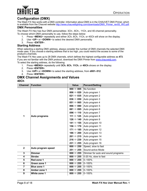

#### <span id="page-9-0"></span>**Configuration (DMX)**

The Wash FX Hex works with a DMX controller. Information about DMX is in the CHAUVET DMX Primer, which is available from the Chauvet website [http://www.chauvetlighting.com/downloads/DMX\\_Primer\\_rev05\\_WO.pdf](http://www.chauvetlighting.com/downloads/DMX_Primer_rev05_WO.pdf).

#### <span id="page-9-1"></span>**DMX Personalities**

The Wash FX Hex has four DMX personalities: 3Ch-, 6Ch-, 11Ch, and 40-channel personality. To choose which DMX personality to use, follow the steps below:

- 1. Press <**MENU**> repeatedly and either 3Ch, 6Ch, 11Ch, or 40Ch will show on the display.
- 2. Use <**UP**> or <**DOWN**> to select the desired DMX personality.
- 3. Press <**ENTER**>.

#### <span id="page-9-2"></span>**Starting Address**

When selecting a starting DMX address, always consider the number of DMX channels the selected DMX mode uses. If you choose a starting address that is too high, you could restrict the access to some of the product's channels.

The Wash FX Hex uses up to 28 DMX channels, which defines the highest configurable address as **473**. If you are not familiar with the DMX protocol, download the DMX Primer from [www.chauvetdj.com](http://www.chauvetdj.com). To select the starting address, do the following:

- 1. Press **<MENU>** repeatedly until **3Ch**, **6Ch**, **11Ch**, or **40Ch** shows on the display.
- 2. Press **<ENTER>**.
- 3. Use **<UP>** or **<DOWN>** to select the starting address, from **d001–512**.
- 4. Press **<ENTER>**.

#### <span id="page-9-4"></span><span id="page-9-3"></span>**DMX Channel Assignments and Values 40Ch**

| <b>Channel</b>          | Function            | <b>Value</b>              | <b>Percent/Setting</b>             |
|-------------------------|---------------------|---------------------------|------------------------------------|
|                         |                     |                           | No function                        |
|                         |                     | 006 $\Leftrightarrow$ 020 | Auto program 1                     |
|                         |                     | 021 $\Leftrightarrow$ 035 | Auto program 2                     |
|                         |                     | 036 $\Leftrightarrow$ 050 | Auto program 3                     |
|                         |                     | 051 $\Leftrightarrow$ 065 | Auto program 4                     |
|                         |                     | 066 $\Leftrightarrow$ 080 | Auto program 5                     |
|                         |                     | 081 $\Leftrightarrow$ 095 | Auto program 6                     |
|                         |                     | 096 $\Leftrightarrow$ 110 | Auto program 7                     |
| 1                       | Auto programs       | 111 ⇔ 125                 | Auto program 8                     |
|                         |                     | 126 ⇔ 140                 | Auto program 9                     |
|                         |                     | 141 ⇔ 155                 | Auto program 10                    |
|                         |                     | 156 ⇔ 170                 | Auto program 11                    |
|                         |                     | 171 ⇔ 185                 | Auto program 12                    |
|                         |                     | 186 ⇔ 200                 | Auto program 13                    |
|                         |                     | 201 $\Leftrightarrow$ 215 | Auto program 14                    |
|                         |                     | 216 $\Leftrightarrow$ 230 | Auto program 15                    |
|                         |                     | 231 $\Leftrightarrow$ 255 | Auto program 16                    |
| $\mathbf{2}$            | Auto program speed  | 000 $\Leftrightarrow$ 250 | Speed, slow to fast                |
|                         |                     | 251 ⇔ 255                 | Sound-active Mode                  |
| $\overline{\mathbf{3}}$ | <b>Dimmer</b>       | 000 $\Leftrightarrow$ 255 | Dimmer for auto and sound programs |
| 4                       | <b>Strobe</b>       | 000 $\Leftrightarrow$ 255 | 0-20 Hz, slow to fast              |
| 5                       | Red zone 1          | 000 $\Leftrightarrow$ 255 | $0 - 100%$                         |
| $\overline{\mathbf{6}}$ | Green zone 1        | 000 $\Leftrightarrow$ 255 | $0 - 100%$                         |
| $\overline{\mathbf{7}}$ | <b>Blue zone 1</b>  | 000 $\Leftrightarrow$ 255 | $0 - 100%$                         |
| 8                       | Amber zone 1        | 000 $\Leftrightarrow$ 255 | $0 - 100%$                         |
| $\overline{9}$          | <b>White zone 1</b> | 000 $\Leftrightarrow$ 255 | $0 - 100%$                         |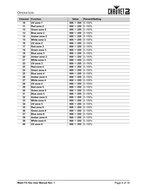#### **OPERATION**



| <b>Channel</b>  | Function            | <b>Value</b>              | <b>Percent/Setting</b> |
|-----------------|---------------------|---------------------------|------------------------|
| $\overline{10}$ | <b>UV zone 1</b>    | 000 $\Leftrightarrow$ 255 | $0 - 100%$             |
| 11              | Red zone 2          | 000 $\Leftrightarrow$ 255 | $0 - 100%$             |
| $\overline{12}$ | Green zone 2        | 000 $\Leftrightarrow$ 255 | $0 - 100%$             |
| $\overline{13}$ | <b>Blue zone 2</b>  | 000 $\Leftrightarrow$ 255 | $0 - 100%$             |
| 14              | <b>Amber zone 2</b> | 000 $\Leftrightarrow$ 255 | $0 - 100%$             |
| 15              | White zone 2        | 000 $\Leftrightarrow$ 255 | $0 - 100%$             |
| 16              | <b>UV zone 2</b>    | 000 $\Leftrightarrow$ 255 | $0 - 100%$             |
| 17              | Red zone 3          | 000 $\Leftrightarrow$ 255 | $0 - 100%$             |
| $\overline{18}$ | Green zone 3        | 000 $\Leftrightarrow$ 255 | $0 - 100%$             |
| 19              | <b>Blue zone 3</b>  | 000 $\Leftrightarrow$ 255 | $0 - 100%$             |
| 20              | Amber zone 3        | 000 $\Leftrightarrow$ 255 | $0 - 100%$             |
| $\overline{21}$ | White zone 3        | 000 $\Leftrightarrow$ 255 | $0 - 100%$             |
| $\overline{22}$ | UV zone 3           | 000 $\Leftrightarrow$ 255 | $0 - 100%$             |
| 23              | Red zone 4          | 000 $\Leftrightarrow$ 255 | $0 - 100%$             |
| $\overline{24}$ | Green zone 4        | 000 $\Leftrightarrow$ 255 | $0 - 100%$             |
| 25              | <b>Blue zone 4</b>  | 000 $\Leftrightarrow$ 255 | $0 - 100%$             |
| 26              | Amber zone 4        | 000 $\Leftrightarrow$ 255 | $0 - 100%$             |
| $\overline{27}$ | White zone 4        | 000 $\Leftrightarrow$ 255 | $0 - 100%$             |
| 28              | <b>UV zone 4</b>    | 000 $\Leftrightarrow$ 255 | $0 - 100%$             |
| 29              | Red zone 5          | 000 $\Leftrightarrow$ 255 | $0 - 100%$             |
| 30              | Green zone 5        | 000 $\Leftrightarrow$ 255 | $0 - 100%$             |
| $\overline{31}$ | <b>Blue zone 5</b>  | 000 $\Leftrightarrow$ 255 | $0 - 100%$             |
| 32              | Amber zone 5        | 000 $\Leftrightarrow$ 255 | $0 - 100%$             |
| 33              | White zone 5        | 000 $\Leftrightarrow$ 255 | $0 - 100%$             |
| 34              | <b>UV zone 5</b>    | 000 $\Leftrightarrow$ 255 | $0 - 100%$             |
| 35              | Red zone 6          | 000 $\Leftrightarrow$ 255 | $0 - 100%$             |
| 36              | Green zone 6        | 000 $\Leftrightarrow$ 255 | $0 - 100%$             |
| 37              | <b>Blue zone 6</b>  | 000 $\Leftrightarrow$ 255 | $0 - 100%$             |
| 38              | Amber zone 6        | 000 $\Leftrightarrow$ 255 | $0 - 100%$             |
| 39              | White zone 6        | 000 $\Leftrightarrow$ 255 | $0 - 100%$             |
| 40              | <b>UV zone 6</b>    | 000 $\Leftrightarrow$ 255 | $0 - 100%$             |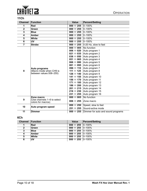# **CHAUVET 2**

#### <span id="page-11-0"></span>**11Ch**

| <b>Channel</b>          | Function                                           | <b>Value</b>                         | <b>Percent/Setting</b>             |
|-------------------------|----------------------------------------------------|--------------------------------------|------------------------------------|
| 1                       | <b>Red</b>                                         | $000 \Leftrightarrow 255$            | $0 - 100%$                         |
| $\overline{\mathbf{2}}$ | Green                                              | 000 $\Leftrightarrow$ 255            | $0 - 100%$                         |
| 3                       | <b>Blue</b>                                        | 000 $\Leftrightarrow$ 255            | $0 - 100%$                         |
| 4                       | <b>Amber</b>                                       | 000 $\Leftrightarrow$ 255            | $0 - 100%$                         |
| 5                       | <b>White</b>                                       | 000 $\Leftrightarrow$ 255            | $0 - 100%$                         |
| 6                       | <b>UV</b>                                          | 000 $\Leftrightarrow$ 255            | $0 - 100%$                         |
| $\overline{\mathbf{7}}$ | <b>Strobe</b>                                      | 000 $\Leftrightarrow$ 255            | 0-20 Hz, slow to fast              |
|                         |                                                    | $000 \Leftrightarrow 005$            | No function                        |
|                         |                                                    | 006 $\Leftrightarrow$ 020            | Auto program 1                     |
|                         |                                                    | 021 $\Leftrightarrow$ 035            | Auto program 2                     |
|                         |                                                    | 036 $\Leftrightarrow$ 050            | Auto program 3                     |
|                         |                                                    | 051 $\Leftrightarrow$ 065            | Auto program 4                     |
|                         |                                                    | 066 $\Leftrightarrow$ 080            | Auto program 5                     |
|                         |                                                    | 081 $\Leftrightarrow$ 095            | Auto program 6                     |
|                         | Auto programs                                      | 096 $\Leftrightarrow$ 110            | Auto program 7                     |
| 8                       | (Macro mode when CH9 is<br>between values 006-255) | 111 ⇔ 125                            | Auto program 8                     |
|                         |                                                    | 126 ⇔ 140                            | Auto program 9                     |
|                         |                                                    | 141 ⇔ 155                            | Auto program 10                    |
|                         |                                                    | 156 ⇔ 170                            | Auto program 11                    |
|                         |                                                    | 171 ⇔ 185                            | Auto program 12                    |
|                         |                                                    | 186 ⇔ 200                            | Auto program 13                    |
|                         |                                                    | 201 ⇔ 215                            | Auto program 14                    |
|                         |                                                    | 216 ⇔ 230                            | Auto program 15                    |
|                         |                                                    | 231 ⇔ 255                            | Auto program 16                    |
|                         | Zone macro                                         | $\overline{000 \Leftrightarrow 005}$ | No function                        |
| 9                       | (Use channels 1-6 to select<br>colors for macros)  | 006 $\Leftrightarrow$ 255            | Zone macro                         |
| 10                      |                                                    | 000 $\Leftrightarrow$ 250            | Speed, slow to fast                |
|                         | Auto program speed                                 | 251 ⇔ 255                            | Sound-active mode                  |
| 11                      | <b>Dimmer</b>                                      | 000 $\Leftrightarrow$ 255            | Dimmer for auto and sound programs |

#### <span id="page-11-1"></span>**6Ch**

|              | <b>Channel Function</b> | <b>Value</b>                     | <b>Percent/Setting</b> |
|--------------|-------------------------|----------------------------------|------------------------|
|              | ∣Red                    | 000 $\Leftrightarrow$ 255 0-100% |                        |
| $\mathbf{2}$ | ∣Green                  | 000 $\Leftrightarrow$ 255 0-100% |                        |
| -3           | <b>Blue</b>             | 000 ⇔ 255 0-100%                 |                        |
| 4            | <b>Amber</b>            | 000 ⇔ 255 0–100%                 |                        |
| 5            | <b>White</b>            | 000 $\Leftrightarrow$ 255 0-100% |                        |
| 6            | <b>UV</b>               | 000 $\Leftrightarrow$ 255 0–100% |                        |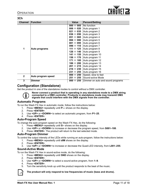

#### <span id="page-12-0"></span>**3Ch**

| <b>Channel</b> | Function           | <b>Value</b>              | <b>Percent/Setting</b>                                      |
|----------------|--------------------|---------------------------|-------------------------------------------------------------|
|                |                    | 000 $\Leftrightarrow$ 005 | No function                                                 |
|                |                    | 006 $\Leftrightarrow$ 020 | Auto program 1                                              |
|                |                    | 021 $\Leftrightarrow$ 035 | Auto program 2                                              |
|                |                    | 036 $\Leftrightarrow$ 050 | Auto program 3                                              |
|                |                    |                           | Auto program 4                                              |
|                |                    | 066 $\Leftrightarrow$ 080 | Auto program 5                                              |
|                |                    | 081 $\Leftrightarrow$ 095 | Auto program 6                                              |
|                |                    | 096 $\Leftrightarrow$ 110 | Auto program 7                                              |
| 1              | Auto programs      | 111 ⇔ 125                 | Auto program 8                                              |
|                |                    | 126 ⇔ 140                 | Auto program 9                                              |
|                |                    | 141 ⇔ 155                 | Auto program 10                                             |
|                |                    | 156 ⇔ 170                 | Auto program 11                                             |
|                |                    | 171 ⇔ 185                 | Auto program 12                                             |
|                |                    | 186 ⇔ 200                 | Auto program 13                                             |
|                |                    | 201 ⇔ 215                 | Auto program 14                                             |
|                |                    | 216 ⇔ 230                 | Auto program 15                                             |
|                |                    | 231 ⇔ 255                 | Auto program 16                                             |
| $\mathbf{2}$   | Auto program speed | 000 $\Leftrightarrow$ 250 | Speed, slow to fast                                         |
|                |                    | 251 ⇔ 255                 | Sound-active Mode                                           |
| 3              | <b>Dimmer</b>      |                           | 000 $\Leftrightarrow$ 255 Dimmer on auto and sound programs |

#### <span id="page-12-1"></span>**Configuration (Standalone)**

Set the product in one of the standalone modes to control without a DMX controller.



**Never connect a product that is operating in any standalone mode to a DMX string connected to a DMX controller. Products in standalone mode may transmit DMX signals that could interfere with the DMX signals from the controller.**

#### <span id="page-12-2"></span>**Automatic Programs**

To run the Wash FX Hex in automatic mode, follow the instructions below:

- 1. Press **<MENU>** repeatedly until **P---** shows on the display.
- 2. Press **<ENTER>**.
- 3. Use **<UP>** or **<DOWN>** to select an automatic program, from **P1–25**.
- 4. Press **<ENTER>**.

#### <span id="page-12-3"></span>**Auto-Program Speed**

To change the auto-program speed on the Wash FX Hex, do the following:

- 1. Press **<MENU>** repeatedly until **S--** shows on the display.
- 2. Use **<UP>** or **<DOWN>** to increase or decrease the program speed, from **S001–100**.
- 3. Press **<ENTER>**. The product will return to the last selected mode.

#### <span id="page-12-4"></span>**Auto-Program Dimmer**

To control the output intensity of the LEDs while running an auto-program, follow the instructions below:

- 1. Press **<MENU>** repeatedly until **dIM** shows on the display.
- 2. Press **<ENTER>**.
- 3. Use **<UP>** or **<DOWN>** to increase or decrease the Quad-LED intensity, from **L001–255**.

#### <span id="page-12-5"></span>**Sound-Active Mode**

To run the Wash FX Hex in sound-active mode, do the following:

- 1. Press **<MENU>** repeatedly until **SND** shows on the display.
- 2. Press **<ENTER>**.
- 3. Use **<UP>** or **<DOWN>** to select a sound-active program, from **1–9**.
- 4. Press **<ENTER>**.
- 5. Turn the sensitivity knob up until the product responds to the beat of the music.



#### **The product will only respond to low frequencies of music (bass and drums).**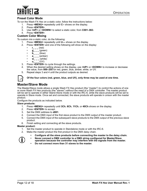

#### <span id="page-13-0"></span>**Preset Color Mode**

To run the Wash FX Hex on a static color, follow the instructions below:

- 1. Press **<MENU>** repeatedly until **C--** shows on the display.
- 2. Press **<ENTER>**.
- 3. Use **<UP>** or **<DOWN>** to select a static color, from **C001–063**.
- 4. Press **<ENTER>**.

#### <span id="page-13-1"></span>**Custom Color Mixing**

To custom mix a static color, do the following:

- 1. Press **<MENU>** repeatedly until **U---** shows on the display.
- 2. Press **<ENTER>** and one of the following will show on the display:
	- **r\_ \_ \_** (red)
	- **g\_ \_ \_** (green)
	- $b_{-}$   $_{-}$  (blue)
	- **a\_ \_ \_** (amber)
	- **w\_ \_ \_** (white)
	- **u** (UV)
- 3. Press **<ENTER>** to cycle through the settings.
- 4. When the desired setting shows on the display, use **<UP>** or **<DOWN>** to increase or decrease the value, from **000–255** for red, green, blue, amber, white, or UV.
- 5. Repeat steps 3 and 4 until the product outputs as desired.



#### **Of the four colors (red, green, blue, and UV), only three may be used at one time.**

#### <span id="page-13-2"></span>**Master/Slave Mode**

The Master/Slave mode allows a single Wash FX Hex product (the "master") to control the actions of one or more Wash FX Hex products (the "slaves") without the need of a DMX controller. The master product will be set to operate in either Stand-Alone mode or with the IRC-6, while the slave products will be set to operate in Slave mode. Once set and connected, the slave products will operate in unison with the master product.

Configure the products as indicated below.

#### **Slave products:**

- 1. Press **<MENU>** repeatedly until **3Ch**, **6Ch**, **11Ch**, or **40Ch** shows on the display.
- 2. Press **<ENTER>** to accept.
- 3. Set the DMX address to **d001**.
- 4. Connect the DMX input of the first slave product to the DMX output of the master product.
- 5. Connect the DMX input of the subsequent slave products to the DMX output of the previous slave product.
- 6. Finish setting and connecting all the slave products.

#### **Master product:**

- 1. Set the master product to operate in Standalone mode or with the IRC-6.
- 2. Make the master product the first product in the DMX daisy chain.
	- **Configure all the slave products before connecting the master to the daisy chain.**



- **Never connect a DMX controller to a DMX string configured for Master/Slave**
- **operation because the controller may interfere with the signals from the master.**
- **Do not connect more than 31 slaves to the master.**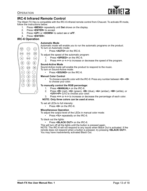

#### <span id="page-14-0"></span>**IRC-6 Infrared Remote Control**

The Wash FX Hex is compatible with the IRC-6 infrared remote control from Chauvet. To activate IR mode, follow the instructions below:

- 1. Press **<MENU>** repeatedly until **Set** shows on the display.
- 2. Press **<ENTER>** to accept.
- 3. Press **<UP>** or **<DOWN>** to select **on** or **oFF**.
- 4. Press **<ENTER>**.

#### <span id="page-14-1"></span>**IRC-6 Operation**

#### **Automatic Mode**

Automatic mode will enable you to run the automatic programs on the product. To turn on Automatic mode:

• Press **<AUTO>** on the IRC-6.

To adjust the speed of the automatic program:

- 1. Press **<SPEED>** on the IRC-6.
- 2. Press **<+>** or **<–>** to increase or decrease the speed of the program.

#### **Sound-Active Mode**

Sound-Active mode will enable the product to respond to the music. To turn on Sound-Active mode:

• Press **<SOUND>** on the IRC-6.

#### **Manual Color Control**

• To choose a specific color with the IRC-6: Press any number between **<0>**–**<9>** to choose your color.

#### **To manually control the RGB percentage:**

- 1. Press **<MANUAL>** on the IRC-6.
- 2. Press **<R>** (red), **<G>** (green), **<B>** (blue), **<A>** (amber), **<W>** (white), or **<UV>/<P>** (UV) to choose your color.
- 3. Press **<+>** or **<–>** to increase or decrease the percentage of each color.

#### **NOTE: Only three colors can be used at once.**

To set all LEDs to full intensity:

• Press **<0>** on the IRC-6.

#### **Miscellaneous Operation**

To adjust the output level of the LEDs in manual color mode:

• Press **<%>** repeatedly on the IRC-6.

#### To black out the lights:

• Press **<BLACK OUT>** on the IRC-6.

This will turn off all the lights until the button is pressed again. NOTE: The IRC-6 will not respond to any inputs when Black Out is activated. If the remote does not respond when a button is pressed, try pressing **<BLACK OUT>**. You may have inadvertently activated Black Out.

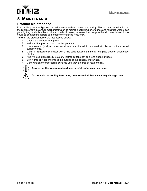# CHAŬVET 23

# <span id="page-15-0"></span>**5. MAINTENANCE**

#### <span id="page-15-1"></span>**Product Maintenance**

Dust build-up reduces light output performance and can cause overheating. This can lead to reduction of the light source's life and/or mechanical wear. To maintain optimum performance and minimize wear, clean your lighting products at least twice a month. However, be aware that usage and environmental conditions could be contributing factors to increase the cleaning frequency.

To clean the product, follow the instructions below:

- 1. Unplug the product from power.
- 2. Wait until the product is at room temperature.
- 3. Use a vacuum (or dry compressed air) and a soft brush to remove dust collected on the external surface/vents.
- 4. Clean all transparent surfaces with a mild soap solution, ammonia-free glass cleaner, or isopropyl alcohol.
- 5. Apply the solution directly to a soft, lint free cotton cloth or a lens cleaning tissue.
- 6. Softly drag any dirt or grime to the outside of the transparent surface.
- 7. Gently polish the transparent surfaces until they are free of haze and lint.



**Always dry the transparent surfaces carefully after cleaning them.**

**Do not spin the cooling fans using compressed air because it may damage them.**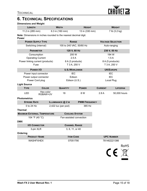

# <span id="page-16-1"></span><span id="page-16-0"></span>**6. TECHNICAL SPECIFICATIONS**

| <b>Dimensions and Weight</b>                                                     |                       |                                   |                      |                          |                   |
|----------------------------------------------------------------------------------|-----------------------|-----------------------------------|----------------------|--------------------------|-------------------|
| <b>LENGTH</b>                                                                    |                       | <b>WIDTH</b>                      |                      | <b>WEIGHT</b>            |                   |
| 11.2 in (285 mm)                                                                 |                       | 6.3 in (160 mm)<br>13 in (330 mm) |                      | 7 lb (3.2 kg)            |                   |
| Note: Dimensions in inches rounded to the nearest decimal digit.<br><b>Power</b> |                       |                                   |                      |                          |                   |
| <b>POWER SUPPLY TYPE</b>                                                         |                       | <b>RANGE</b>                      |                      | <b>VOLTAGE SELECTION</b> |                   |
| Switching (internal)                                                             |                       | 100 to 240 VAC, 50/60 Hz          |                      | Auto-ranging             |                   |
| <b>PARAMETER</b>                                                                 |                       | 120 V, 60 Hz                      |                      |                          | 230 V, 50 Hz      |
| Consumption                                                                      |                       | 200 W                             |                      | 194 W                    |                   |
| <b>Operating Current</b>                                                         |                       | 2.5A                              |                      |                          | 1.5A              |
| Power linking current (products)                                                 |                       | 8 A (3 products)                  |                      |                          | 8 A (5 products)  |
| Fuse                                                                             |                       | T 3 A, 250 V                      |                      |                          | T 3 A, 250 V      |
| <b>POWER I/O</b>                                                                 |                       | <b>U.S./WORLDWIDE</b>             |                      |                          | <b>UK/EUROPE</b>  |
| Power input connector                                                            |                       | <b>IEC</b>                        |                      | <b>IEC</b>               |                   |
| Power output connector                                                           |                       | Edison                            |                      |                          | <b>IEC</b>        |
| Power Cord plug                                                                  |                       | Edison (U.S.)                     |                      | Local Plug               |                   |
| <b>Light Source</b>                                                              |                       |                                   |                      |                          |                   |
| <b>TYPE</b>                                                                      | <b>COLOR</b>          | <b>QUANTITY</b>                   | <b>POWER</b>         | <b>CURRENT</b>           | <b>LIFESPAN</b>   |
| <b>LED</b>                                                                       | Hex-color<br>RGBAW+UV | 18                                | 8 W                  | 2.8A                     | 50,000 hours      |
| <b>Photometrics</b>                                                              |                       |                                   |                      |                          |                   |
| <b>STROBE RATE</b>                                                               |                       | ILLUMINANCE @ 2 M                 | <b>PWM FREQUENCY</b> |                          |                   |
| 0 to 24 Hz                                                                       |                       | 365 Hz<br>$2,422$ lux (per pod)   |                      |                          |                   |
|                                                                                  |                       |                                   |                      |                          |                   |
| <b>Thermal</b>                                                                   |                       |                                   |                      |                          |                   |
| <b>MAXIMUM EXTERNAL TEMPERATURE</b>                                              |                       | <b>COOLING SYSTEM</b>             |                      |                          |                   |
| 104 °F (40 °C)                                                                   |                       | Fan-assisted convection           |                      |                          |                   |
| <b>DMX</b>                                                                       |                       |                                   |                      |                          |                   |
| <b>I/O CONNECTOR</b>                                                             |                       | <b>CHANNEL RANGE</b>              |                      |                          |                   |
| 3-pin XLR                                                                        |                       | 3, 6, 11, or 40                   |                      |                          |                   |
| Ordering                                                                         |                       |                                   |                      |                          |                   |
| <b>PRODUCT NAME</b>                                                              |                       | <b>ITEM CODE</b>                  |                      |                          | <b>UPC NUMBER</b> |
| <b>WASHFXHEX</b>                                                                 |                       | 07051790                          |                      |                          | 781462221386      |



 $CE \times 10^{-10}$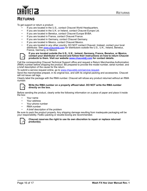

# **RETURNS**

To get support or return a product:

- If you are located in the U.S., contact Chauvet World Headquarters.
- If you are located in the U.K. or Ireland, contact Chauvet Europe Ltd.
- If you are located in Benelux, contact Chauvet Europe BVBA.
- If you are located in France, contact Chauvet France.
- If you are located in Germany, contact Chauvet Germany.
- If you are located in Mexico, contact Chauvet Mexico.
- If you are located in any other country, DO NOT contact Chauvet. Instead, contact your local distributor. See [www.chauvetdj.com](http://www.chauvetdj.com) for distributors outside the U.S., U.K., Ireland, Benelux, France, Germany, or Mexico



#### **If you are located outside the U.S., U.K., Ireland, Germany, France, Benelux, or Mexico, contact your distributor of record and follow their instructions on how to return Chauvet products to them. Visit our website [www.chauvetdj.com](http://www.chauvetdj.com) for contact details.**

Call the corresponding Chauvet Technical Support office and request a Return Merchandise Authorization (RMA) number before shipping the product. Be prepared to provide the model number, serial number, and a brief description of the cause for the return.

To submit a service request online, go to [www.chauvetdj.com/service-request](http://www.chauvetdj.com/service-request).

Send the merchandise prepaid, in its original box, and with its original packing and accessories. Chauvet will not issue call tags.

Clearly label the package with the RMA number. Chauvet will refuse any product returned without an RMA number.



#### **Write the RMA number on a properly affixed label. DO NOT write the RMA number directly on the box.**

Before sending the product, clearly write the following information on a piece of paper and place it inside the box:

- Your name
- Your address
- Your phone number
- RMA number
- A brief description of the problem

Be sure to pack the product properly. Any shipping damage resulting from inadequate packaging will be your responsibility. FedEx packing or double-boxing are recommended.



#### **Chauvet reserves the right to use its own discretion to repair or replace returned product(s).**